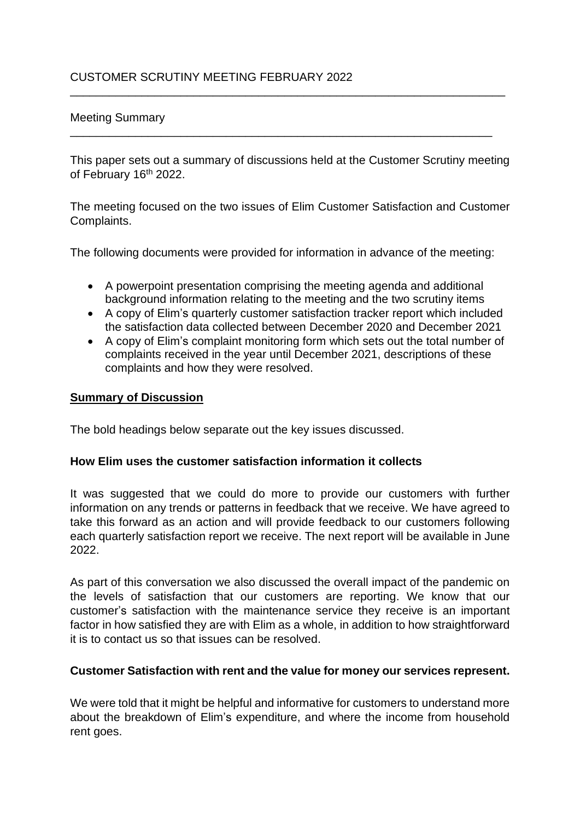## Meeting Summary

This paper sets out a summary of discussions held at the Customer Scrutiny meeting of February 16<sup>th</sup> 2022.

\_\_\_\_\_\_\_\_\_\_\_\_\_\_\_\_\_\_\_\_\_\_\_\_\_\_\_\_\_\_\_\_\_\_\_\_\_\_\_\_\_\_\_\_\_\_\_\_\_\_\_\_\_\_\_\_\_\_\_\_\_\_\_\_\_\_\_

\_\_\_\_\_\_\_\_\_\_\_\_\_\_\_\_\_\_\_\_\_\_\_\_\_\_\_\_\_\_\_\_\_\_\_\_\_\_\_\_\_\_\_\_\_\_\_\_\_\_\_\_\_\_\_\_\_\_\_\_\_\_\_\_\_

The meeting focused on the two issues of Elim Customer Satisfaction and Customer Complaints.

The following documents were provided for information in advance of the meeting:

- A powerpoint presentation comprising the meeting agenda and additional background information relating to the meeting and the two scrutiny items
- A copy of Elim's quarterly customer satisfaction tracker report which included the satisfaction data collected between December 2020 and December 2021
- A copy of Elim's complaint monitoring form which sets out the total number of complaints received in the year until December 2021, descriptions of these complaints and how they were resolved.

### **Summary of Discussion**

The bold headings below separate out the key issues discussed.

### **How Elim uses the customer satisfaction information it collects**

It was suggested that we could do more to provide our customers with further information on any trends or patterns in feedback that we receive. We have agreed to take this forward as an action and will provide feedback to our customers following each quarterly satisfaction report we receive. The next report will be available in June 2022.

As part of this conversation we also discussed the overall impact of the pandemic on the levels of satisfaction that our customers are reporting. We know that our customer's satisfaction with the maintenance service they receive is an important factor in how satisfied they are with Elim as a whole, in addition to how straightforward it is to contact us so that issues can be resolved.

#### **Customer Satisfaction with rent and the value for money our services represent.**

We were told that it might be helpful and informative for customers to understand more about the breakdown of Elim's expenditure, and where the income from household rent goes.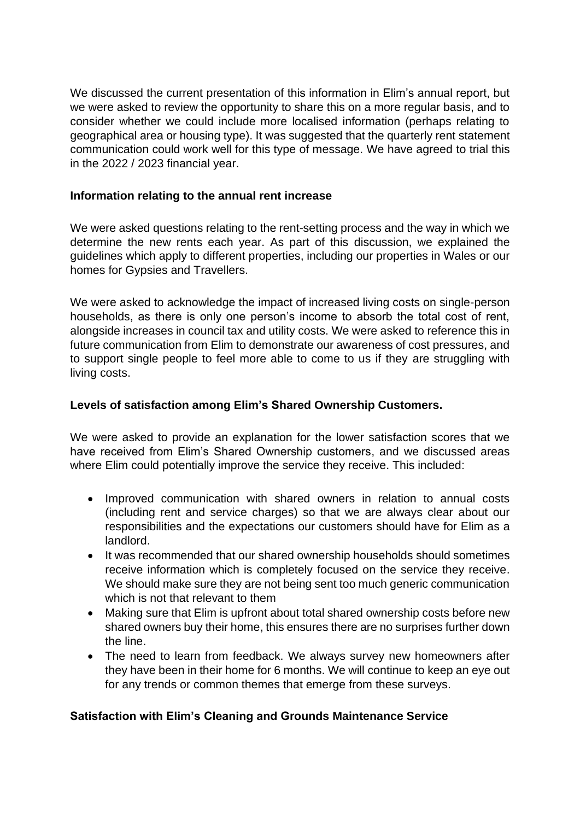We discussed the current presentation of this information in Elim's annual report, but we were asked to review the opportunity to share this on a more regular basis, and to consider whether we could include more localised information (perhaps relating to geographical area or housing type). It was suggested that the quarterly rent statement communication could work well for this type of message. We have agreed to trial this in the 2022 / 2023 financial year.

# **Information relating to the annual rent increase**

We were asked questions relating to the rent-setting process and the way in which we determine the new rents each year. As part of this discussion, we explained the guidelines which apply to different properties, including our properties in Wales or our homes for Gypsies and Travellers.

We were asked to acknowledge the impact of increased living costs on single-person households, as there is only one person's income to absorb the total cost of rent, alongside increases in council tax and utility costs. We were asked to reference this in future communication from Elim to demonstrate our awareness of cost pressures, and to support single people to feel more able to come to us if they are struggling with living costs.

# **Levels of satisfaction among Elim's Shared Ownership Customers.**

We were asked to provide an explanation for the lower satisfaction scores that we have received from Elim's Shared Ownership customers, and we discussed areas where Elim could potentially improve the service they receive. This included:

- Improved communication with shared owners in relation to annual costs (including rent and service charges) so that we are always clear about our responsibilities and the expectations our customers should have for Elim as a landlord.
- It was recommended that our shared ownership households should sometimes receive information which is completely focused on the service they receive. We should make sure they are not being sent too much generic communication which is not that relevant to them
- Making sure that Elim is upfront about total shared ownership costs before new shared owners buy their home, this ensures there are no surprises further down the line.
- The need to learn from feedback. We always survey new homeowners after they have been in their home for 6 months. We will continue to keep an eye out for any trends or common themes that emerge from these surveys.

# **Satisfaction with Elim's Cleaning and Grounds Maintenance Service**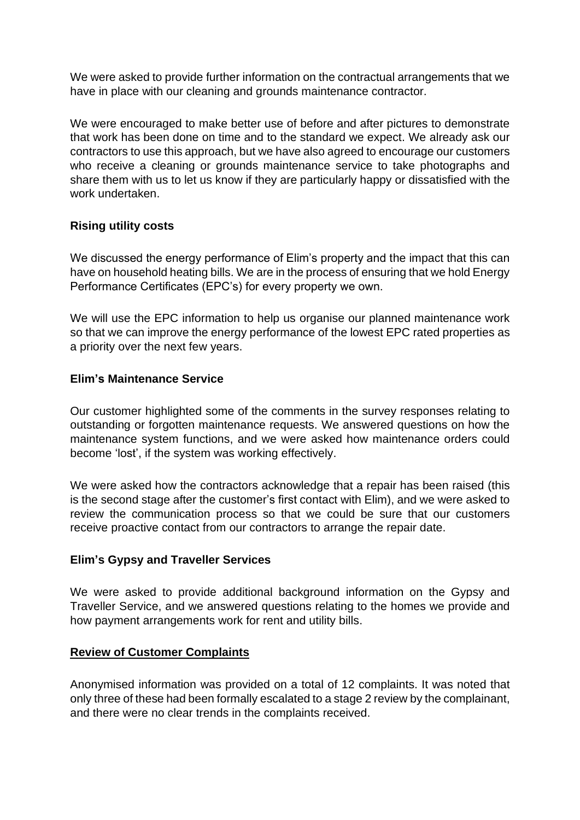We were asked to provide further information on the contractual arrangements that we have in place with our cleaning and grounds maintenance contractor.

We were encouraged to make better use of before and after pictures to demonstrate that work has been done on time and to the standard we expect. We already ask our contractors to use this approach, but we have also agreed to encourage our customers who receive a cleaning or grounds maintenance service to take photographs and share them with us to let us know if they are particularly happy or dissatisfied with the work undertaken.

# **Rising utility costs**

We discussed the energy performance of Elim's property and the impact that this can have on household heating bills. We are in the process of ensuring that we hold Energy Performance Certificates (EPC's) for every property we own.

We will use the EPC information to help us organise our planned maintenance work so that we can improve the energy performance of the lowest EPC rated properties as a priority over the next few years.

### **Elim's Maintenance Service**

Our customer highlighted some of the comments in the survey responses relating to outstanding or forgotten maintenance requests. We answered questions on how the maintenance system functions, and we were asked how maintenance orders could become 'lost', if the system was working effectively.

We were asked how the contractors acknowledge that a repair has been raised (this is the second stage after the customer's first contact with Elim), and we were asked to review the communication process so that we could be sure that our customers receive proactive contact from our contractors to arrange the repair date.

### **Elim's Gypsy and Traveller Services**

We were asked to provide additional background information on the Gypsy and Traveller Service, and we answered questions relating to the homes we provide and how payment arrangements work for rent and utility bills.

### **Review of Customer Complaints**

Anonymised information was provided on a total of 12 complaints. It was noted that only three of these had been formally escalated to a stage 2 review by the complainant, and there were no clear trends in the complaints received.